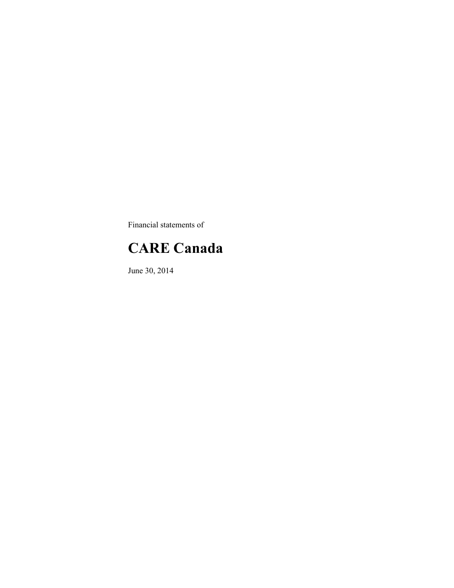Financial statements of

### **CARE Canada**

June 30, 2014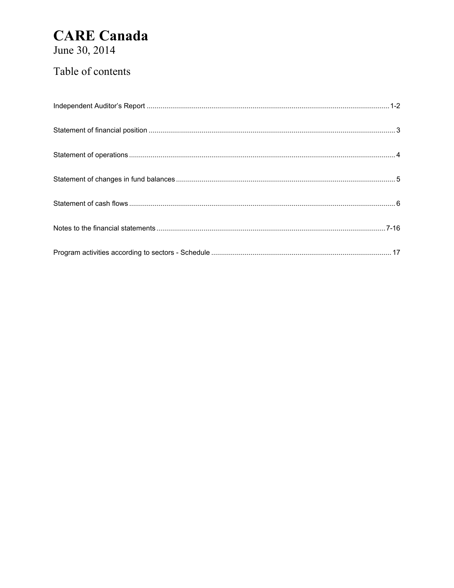June 30, 2014

### Table of contents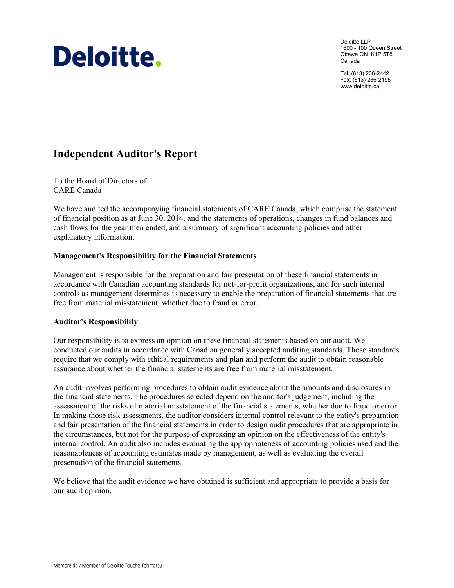# Deloitte.

Deloitte LLP 1600 - 100 Queen Street Ottawa ON K1P 5T8 Canada

Tel: (613) 236-2442 Fax: (613) 236-2195 www.deloitte.ca

### **Independent Auditor's Report**

To the Board of Directors of CARE Canada

We have audited the accompanying financial statements of CARE Canada, which comprise the statement of financial position as at June 30, 2014, and the statements of operations, changes in fund balances and cash flows for the year then ended, and a summary of significant accounting policies and other explanatory information.

#### **Management's Responsibility for the Financial Statements**

Management is responsible for the preparation and fair presentation of these financial statements in accordance with Canadian accounting standards for not-for-profit organizations, and for such internal controls as management determines is necessary to enable the preparation of financial statements that are free from material misstatement, whether due to fraud or error.

#### **Auditor's Responsibility**

Our responsibility is to express an opinion on these financial statements based on our audit. We conducted our audits in accordance with Canadian generally accepted auditing standards. Those standards require that we comply with ethical requirements and plan and perform the audit to obtain reasonable assurance about whether the financial statements are free from material misstatement.

An audit involves performing procedures to obtain audit evidence about the amounts and disclosures in the financial statements. The procedures selected depend on the auditor's judgement, including the assessment of the risks of material misstatement of the financial statements, whether due to fraud or error. In making those risk assessments, the auditor considers internal control relevant to the entity's preparation and fair presentation of the financial statements in order to design audit procedures that are appropriate in the circumstances, but not for the purpose of expressing an opinion on the effectiveness of the entity's internal control. An audit also includes evaluating the appropriateness of accounting policies used and the reasonableness of accounting estimates made by management, as well as evaluating the overall presentation of the financial statements.

We believe that the audit evidence we have obtained is sufficient and appropriate to provide a basis for our audit opinion.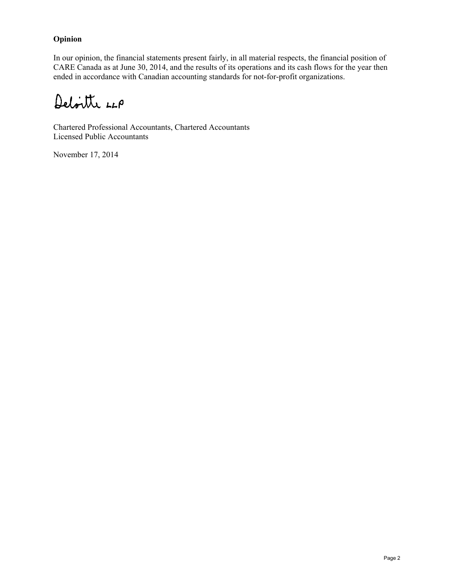### **Opinion**

In our opinion, the financial statements present fairly, in all material respects, the financial position of CARE Canada as at June 30, 2014, and the results of its operations and its cash flows for the year then ended in accordance with Canadian accounting standards for not-for-profit organizations.

Deloitte LLP

Chartered Professional Accountants, Chartered Accountants Licensed Public Accountants

November 17, 2014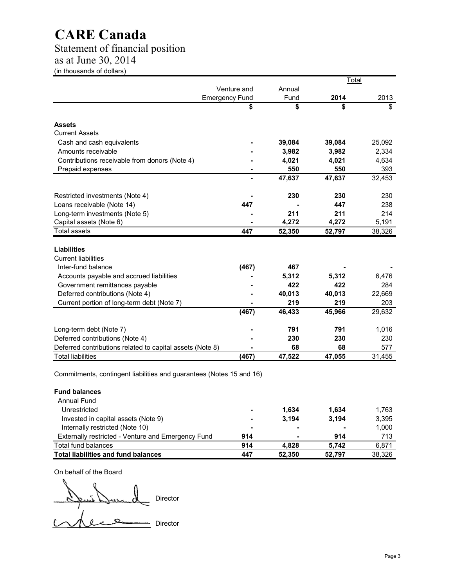Statement of financial position

as at June 30, 2014

(in thousands of dollars)

|                                                                      |                       |        | Total  |        |
|----------------------------------------------------------------------|-----------------------|--------|--------|--------|
|                                                                      | Venture and           | Annual |        |        |
|                                                                      | <b>Emergency Fund</b> | Fund   | 2014   | 2013   |
|                                                                      | \$                    | \$     | \$     | \$     |
| <b>Assets</b>                                                        |                       |        |        |        |
| <b>Current Assets</b>                                                |                       |        |        |        |
| Cash and cash equivalents                                            |                       | 39,084 | 39,084 | 25,092 |
| Amounts receivable                                                   |                       | 3,982  | 3,982  | 2,334  |
| Contributions receivable from donors (Note 4)                        |                       | 4,021  | 4,021  | 4,634  |
| Prepaid expenses                                                     |                       | 550    | 550    | 393    |
|                                                                      |                       | 47,637 | 47,637 | 32,453 |
| Restricted investments (Note 4)                                      |                       | 230    | 230    | 230    |
| Loans receivable (Note 14)                                           | 447                   |        | 447    | 238    |
| Long-term investments (Note 5)                                       |                       | 211    | 211    | 214    |
| Capital assets (Note 6)                                              |                       | 4,272  | 4,272  | 5,191  |
| <b>Total assets</b>                                                  | 447                   | 52,350 | 52,797 | 38,326 |
| <b>Liabilities</b>                                                   |                       |        |        |        |
| <b>Current liabilities</b>                                           |                       |        |        |        |
| Inter-fund balance                                                   | (467)                 | 467    |        |        |
| Accounts payable and accrued liabilities                             |                       | 5,312  | 5,312  | 6,476  |
| Government remittances payable                                       |                       | 422    | 422    | 284    |
| Deferred contributions (Note 4)                                      |                       | 40,013 | 40,013 | 22,669 |
| Current portion of long-term debt (Note 7)                           |                       | 219    | 219    | 203    |
|                                                                      | (467)                 | 46,433 | 45,966 | 29,632 |
|                                                                      |                       |        |        |        |
| Long-term debt (Note 7)                                              |                       | 791    | 791    | 1,016  |
| Deferred contributions (Note 4)                                      |                       | 230    | 230    | 230    |
| Deferred contributions related to capital assets (Note 8)            |                       | 68     | 68     | 577    |
| <b>Total liabilities</b>                                             | (467)                 | 47,522 | 47,055 | 31,455 |
| Commitments, contingent liabilities and guarantees (Notes 15 and 16) |                       |        |        |        |

#### **Fund balances**

| Annual Fund                                        |     |                          |        |        |
|----------------------------------------------------|-----|--------------------------|--------|--------|
| Unrestricted                                       | ۰   | 1.634                    | 1.634  | 1.763  |
| Invested in capital assets (Note 9)                |     | 3.194                    | 3.194  | 3,395  |
| Internally restricted (Note 10)                    |     | $\overline{\phantom{a}}$ | ٠      | 1,000  |
| Externally restricted - Venture and Emergency Fund | 914 | ٠                        | 914    | 713    |
| Total fund balances                                | 914 | 4.828                    | 5.742  | 6.871  |
| <b>Total liabilities and fund balances</b>         | 447 | 52.350                   | 52.797 | 38.326 |

On behalf of the Board

Director يكبيون Director l C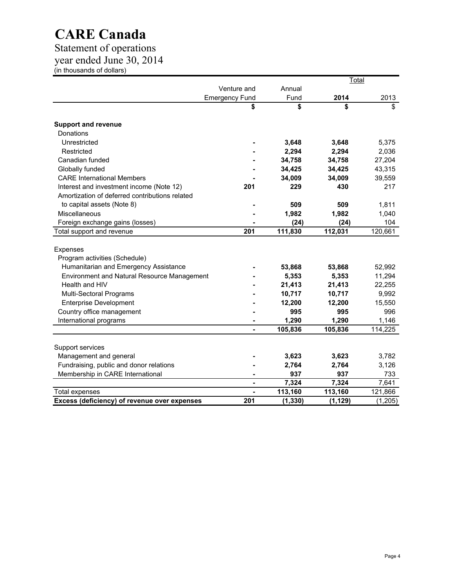Statement of operations year ended June 30, 2014

(in thousands of dollars)

|                                                    |                       |                     | Total        |              |
|----------------------------------------------------|-----------------------|---------------------|--------------|--------------|
|                                                    | Venture and           | Annual              |              |              |
|                                                    | <b>Emergency Fund</b> | Fund                | 2014         | 2013         |
|                                                    | \$                    | \$                  | \$           | \$           |
| <b>Support and revenue</b>                         |                       |                     |              |              |
| Donations                                          |                       |                     |              |              |
| Unrestricted                                       |                       | 3,648               | 3,648        | 5,375        |
| Restricted                                         |                       | 2,294               | 2,294        | 2,036        |
| Canadian funded                                    |                       | 34,758              | 34,758       | 27,204       |
| Globally funded                                    |                       | 34,425              | 34,425       | 43,315       |
| <b>CARE International Members</b>                  |                       | 34,009              | 34,009       | 39,559       |
| Interest and investment income (Note 12)           | 201                   | 229                 | 430          | 217          |
| Amortization of deferred contributions related     |                       |                     |              |              |
| to capital assets (Note 8)                         |                       | 509                 | 509          | 1,811        |
| Miscellaneous                                      |                       | 1,982               | 1,982        | 1,040        |
| Foreign exchange gains (losses)                    |                       | (24)                | (24)         | 104          |
| Total support and revenue                          | 201                   | 111,830             | 112,031      | 120,661      |
|                                                    |                       |                     |              |              |
| <b>Expenses</b>                                    |                       |                     |              |              |
| Program activities (Schedule)                      |                       |                     |              |              |
| Humanitarian and Emergency Assistance              |                       | 53,868              | 53,868       | 52,992       |
| <b>Environment and Natural Resource Management</b> |                       | 5,353               | 5,353        | 11,294       |
| Health and HIV                                     |                       | 21,413              | 21,413       | 22,255       |
| Multi-Sectoral Programs                            |                       | 10,717              | 10,717       | 9,992        |
| <b>Enterprise Development</b>                      |                       | 12,200              | 12,200       | 15,550       |
| Country office management                          |                       | 995                 | 995          | 996          |
| International programs                             |                       | 1,290               | 1,290        | 1,146        |
|                                                    | L.                    | 105,836             | 105,836      | 114,225      |
|                                                    |                       |                     |              |              |
| Support services                                   |                       |                     |              |              |
| Management and general                             |                       | 3,623               | 3,623        | 3,782        |
| Fundraising, public and donor relations            |                       | 2,764<br>937        | 2,764<br>937 | 3,126        |
| Membership in CARE International                   |                       | 7,324               | 7,324        | 733<br>7,641 |
|                                                    |                       |                     | 113,160      | 121,866      |
| <b>Total expenses</b>                              | 201                   | 113,160<br>(1, 330) | (1, 129)     | (1, 205)     |
| Excess (deficiency) of revenue over expenses       |                       |                     |              |              |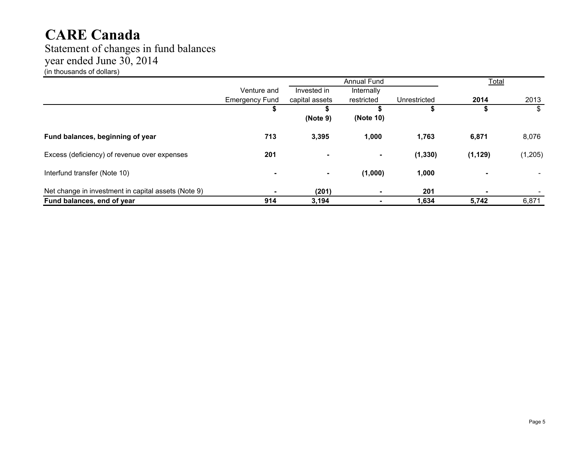Statement of changes in fund balances year ended June 30, 2014 (in thousands of dollars)

|                                                     |                       |                | Annual Fund    |              | Total    |          |
|-----------------------------------------------------|-----------------------|----------------|----------------|--------------|----------|----------|
|                                                     | Venture and           | Invested in    | Internally     |              |          |          |
|                                                     | <b>Emergency Fund</b> | capital assets | restricted     | Unrestricted | 2014     | 2013     |
|                                                     | \$                    | ъ              |                |              | \$       | \$       |
|                                                     |                       | (Note 9)       | (Note 10)      |              |          |          |
| Fund balances, beginning of year                    | 713                   | 3,395          | 1,000          | 1,763        | 6,871    | 8,076    |
| Excess (deficiency) of revenue over expenses        | 201                   | ۰              | ٠              | (1, 330)     | (1, 129) | (1, 205) |
| Interfund transfer (Note 10)                        | $\blacksquare$        | $\blacksquare$ | (1,000)        | 1,000        |          |          |
| Net change in investment in capital assets (Note 9) |                       | (201)          | ٠              | 201          |          |          |
| Fund balances, end of year                          | 914                   | 3,194          | $\blacksquare$ | 1,634        | 5,742    | 6,871    |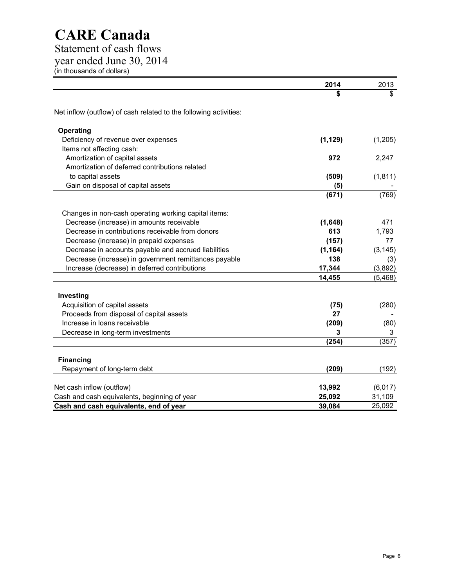Statement of cash flows year ended June 30, 2014 (in thousands of dollars)

|                                                                   | 2014     | 2013     |
|-------------------------------------------------------------------|----------|----------|
|                                                                   |          | \$       |
| Net inflow (outflow) of cash related to the following activities: |          |          |
| Operating                                                         |          |          |
| Deficiency of revenue over expenses                               | (1, 129) | (1,205)  |
| Items not affecting cash:                                         |          |          |
| Amortization of capital assets                                    | 972      | 2,247    |
| Amortization of deferred contributions related                    |          |          |
| to capital assets                                                 | (509)    | (1, 811) |
| Gain on disposal of capital assets                                | (5)      |          |
|                                                                   | (671)    | (769)    |
| Changes in non-cash operating working capital items:              |          |          |
| Decrease (increase) in amounts receivable                         | (1,648)  | 471      |
| Decrease in contributions receivable from donors                  | 613      | 1,793    |
| Decrease (increase) in prepaid expenses                           | (157)    | 77       |
| Decrease in accounts payable and accrued liabilities              | (1, 164) | (3, 145) |
| Decrease (increase) in government remittances payable             | 138      | (3)      |
| Increase (decrease) in deferred contributions                     | 17,344   | (3,892)  |
|                                                                   | 14,455   | (5,468)  |
| Investing                                                         |          |          |
| Acquisition of capital assets                                     | (75)     | (280)    |
| Proceeds from disposal of capital assets                          | 27       |          |
| Increase in loans receivable                                      | (209)    | (80)     |
| Decrease in long-term investments                                 | 3        | 3        |
|                                                                   | (254)    | (357)    |
|                                                                   |          |          |
| <b>Financing</b><br>Repayment of long-term debt                   | (209)    | (192)    |
|                                                                   |          |          |
| Net cash inflow (outflow)                                         | 13,992   | (6,017)  |
| Cash and cash equivalents, beginning of year                      | 25,092   | 31,109   |
| Cash and cash equivalents, end of year                            | 39,084   | 25,092   |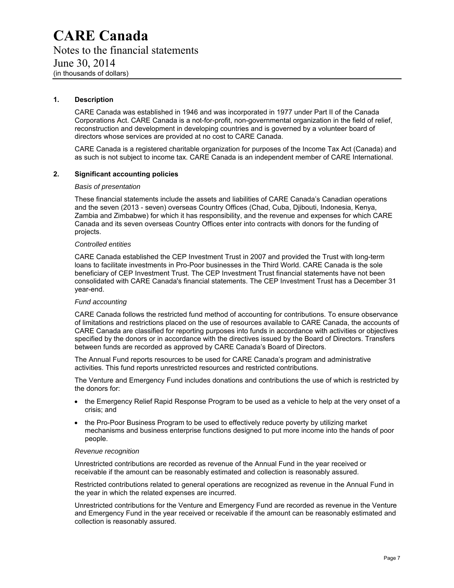#### **1. Description**

CARE Canada was established in 1946 and was incorporated in 1977 under Part II of the Canada Corporations Act. CARE Canada is a not-for-profit, non-governmental organization in the field of relief, reconstruction and development in developing countries and is governed by a volunteer board of directors whose services are provided at no cost to CARE Canada.

CARE Canada is a registered charitable organization for purposes of the Income Tax Act (Canada) and as such is not subject to income tax. CARE Canada is an independent member of CARE International.

#### **2. Significant accounting policies**

#### *Basis of presentation*

These financial statements include the assets and liabilities of CARE Canada's Canadian operations and the seven (2013 - seven) overseas Country Offices (Chad, Cuba, Djibouti, Indonesia, Kenya, Zambia and Zimbabwe) for which it has responsibility, and the revenue and expenses for which CARE Canada and its seven overseas Country Offices enter into contracts with donors for the funding of projects.

#### *Controlled entities*

CARE Canada established the CEP Investment Trust in 2007 and provided the Trust with long-term loans to facilitate investments in Pro-Poor businesses in the Third World. CARE Canada is the sole beneficiary of CEP Investment Trust. The CEP Investment Trust financial statements have not been consolidated with CARE Canada's financial statements. The CEP Investment Trust has a December 31 year-end.

#### *Fund accounting*

CARE Canada follows the restricted fund method of accounting for contributions. To ensure observance of limitations and restrictions placed on the use of resources available to CARE Canada, the accounts of CARE Canada are classified for reporting purposes into funds in accordance with activities or objectives specified by the donors or in accordance with the directives issued by the Board of Directors. Transfers between funds are recorded as approved by CARE Canada's Board of Directors.

The Annual Fund reports resources to be used for CARE Canada's program and administrative activities. This fund reports unrestricted resources and restricted contributions.

The Venture and Emergency Fund includes donations and contributions the use of which is restricted by the donors for:

- the Emergency Relief Rapid Response Program to be used as a vehicle to help at the very onset of a crisis; and
- the Pro-Poor Business Program to be used to effectively reduce poverty by utilizing market mechanisms and business enterprise functions designed to put more income into the hands of poor people.

#### *Revenue recognition*

Unrestricted contributions are recorded as revenue of the Annual Fund in the year received or receivable if the amount can be reasonably estimated and collection is reasonably assured.

Restricted contributions related to general operations are recognized as revenue in the Annual Fund in the year in which the related expenses are incurred.

Unrestricted contributions for the Venture and Emergency Fund are recorded as revenue in the Venture and Emergency Fund in the year received or receivable if the amount can be reasonably estimated and collection is reasonably assured.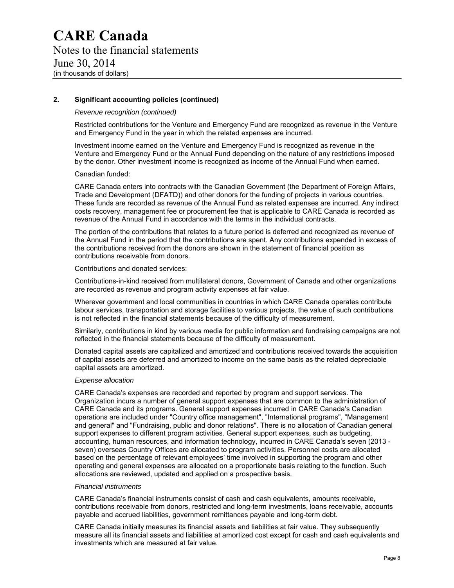#### **2. Significant accounting policies (continued)**

#### *Revenue recognition (continued)*

Restricted contributions for the Venture and Emergency Fund are recognized as revenue in the Venture and Emergency Fund in the year in which the related expenses are incurred.

Investment income earned on the Venture and Emergency Fund is recognized as revenue in the Venture and Emergency Fund or the Annual Fund depending on the nature of any restrictions imposed by the donor. Other investment income is recognized as income of the Annual Fund when earned.

#### Canadian funded:

CARE Canada enters into contracts with the Canadian Government (the Department of Foreign Affairs, Trade and Development (DFATD)) and other donors for the funding of projects in various countries. These funds are recorded as revenue of the Annual Fund as related expenses are incurred. Any indirect costs recovery, management fee or procurement fee that is applicable to CARE Canada is recorded as revenue of the Annual Fund in accordance with the terms in the individual contracts.

The portion of the contributions that relates to a future period is deferred and recognized as revenue of the Annual Fund in the period that the contributions are spent. Any contributions expended in excess of the contributions received from the donors are shown in the statement of financial position as contributions receivable from donors.

Contributions and donated services:

Contributions-in-kind received from multilateral donors, Government of Canada and other organizations are recorded as revenue and program activity expenses at fair value.

Wherever government and local communities in countries in which CARE Canada operates contribute labour services, transportation and storage facilities to various projects, the value of such contributions is not reflected in the financial statements because of the difficulty of measurement.

Similarly, contributions in kind by various media for public information and fundraising campaigns are not reflected in the financial statements because of the difficulty of measurement.

Donated capital assets are capitalized and amortized and contributions received towards the acquisition of capital assets are deferred and amortized to income on the same basis as the related depreciable capital assets are amortized.

#### *Expense allocation*

CARE Canada's expenses are recorded and reported by program and support services. The Organization incurs a number of general support expenses that are common to the administration of CARE Canada and its programs. General support expenses incurred in CARE Canada's Canadian operations are included under "Country office management", "International programs", "Management and general" and "Fundraising, public and donor relations". There is no allocation of Canadian general support expenses to different program activities. General support expenses, such as budgeting, accounting, human resources, and information technology, incurred in CARE Canada's seven (2013 seven) overseas Country Offices are allocated to program activities. Personnel costs are allocated based on the percentage of relevant employees' time involved in supporting the program and other operating and general expenses are allocated on a proportionate basis relating to the function. Such allocations are reviewed, updated and applied on a prospective basis.

#### *Financial instruments*

CARE Canada's financial instruments consist of cash and cash equivalents, amounts receivable, contributions receivable from donors, restricted and long-term investments, loans receivable, accounts payable and accrued liabilities, government remittances payable and long-term debt.

CARE Canada initially measures its financial assets and liabilities at fair value. They subsequently measure all its financial assets and liabilities at amortized cost except for cash and cash equivalents and investments which are measured at fair value.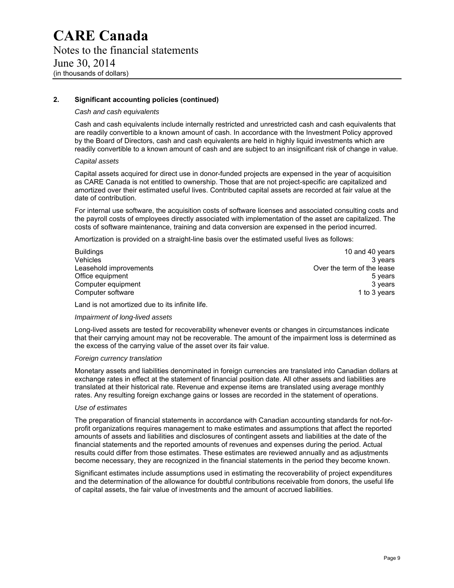#### **2. Significant accounting policies (continued)**

#### *Cash and cash equivalents*

Cash and cash equivalents include internally restricted and unrestricted cash and cash equivalents that are readily convertible to a known amount of cash. In accordance with the Investment Policy approved by the Board of Directors, cash and cash equivalents are held in highly liquid investments which are readily convertible to a known amount of cash and are subject to an insignificant risk of change in value.

#### *Capital assets*

Capital assets acquired for direct use in donor-funded projects are expensed in the year of acquisition as CARE Canada is not entitled to ownership. Those that are not project-specific are capitalized and amortized over their estimated useful lives. Contributed capital assets are recorded at fair value at the date of contribution.

For internal use software, the acquisition costs of software licenses and associated consulting costs and the payroll costs of employees directly associated with implementation of the asset are capitalized. The costs of software maintenance, training and data conversion are expensed in the period incurred.

Amortization is provided on a straight-line basis over the estimated useful lives as follows:

| <b>Buildings</b>       | 10 and 40 years            |
|------------------------|----------------------------|
| <b>Vehicles</b>        | 3 years                    |
| Leasehold improvements | Over the term of the lease |
| Office equipment       | 5 years                    |
| Computer equipment     | 3 years                    |
| Computer software      | 1 to 3 years               |

Land is not amortized due to its infinite life.

#### *Impairment of long-lived assets*

Long-lived assets are tested for recoverability whenever events or changes in circumstances indicate that their carrying amount may not be recoverable. The amount of the impairment loss is determined as the excess of the carrying value of the asset over its fair value.

#### *Foreign currency translation*

Monetary assets and liabilities denominated in foreign currencies are translated into Canadian dollars at exchange rates in effect at the statement of financial position date. All other assets and liabilities are translated at their historical rate. Revenue and expense items are translated using average monthly rates. Any resulting foreign exchange gains or losses are recorded in the statement of operations.

#### *Use of estimates*

The preparation of financial statements in accordance with Canadian accounting standards for not-forprofit organizations requires management to make estimates and assumptions that affect the reported amounts of assets and liabilities and disclosures of contingent assets and liabilities at the date of the financial statements and the reported amounts of revenues and expenses during the period. Actual results could differ from those estimates. These estimates are reviewed annually and as adjustments become necessary, they are recognized in the financial statements in the period they become known.

Significant estimates include assumptions used in estimating the recoverability of project expenditures and the determination of the allowance for doubtful contributions receivable from donors, the useful life of capital assets, the fair value of investments and the amount of accrued liabilities.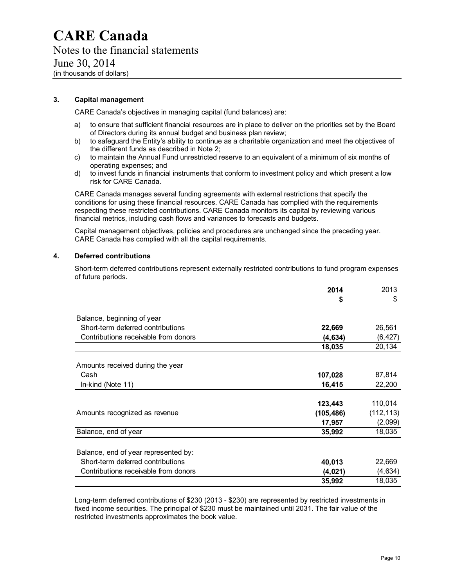#### **3. Capital management**

CARE Canada's objectives in managing capital (fund balances) are:

- a) to ensure that sufficient financial resources are in place to deliver on the priorities set by the Board of Directors during its annual budget and business plan review;
- b) to safeguard the Entity's ability to continue as a charitable organization and meet the objectives of the different funds as described in Note 2;
- c) to maintain the Annual Fund unrestricted reserve to an equivalent of a minimum of six months of operating expenses; and
- d) to invest funds in financial instruments that conform to investment policy and which present a low risk for CARE Canada.

CARE Canada manages several funding agreements with external restrictions that specify the conditions for using these financial resources. CARE Canada has complied with the requirements respecting these restricted contributions. CARE Canada monitors its capital by reviewing various financial metrics, including cash flows and variances to forecasts and budgets.

Capital management objectives, policies and procedures are unchanged since the preceding year. CARE Canada has complied with all the capital requirements.

#### **4. Deferred contributions**

Short-term deferred contributions represent externally restricted contributions to fund program expenses of future periods.

|                                      | 2014       | 2013       |
|--------------------------------------|------------|------------|
|                                      | \$         | \$         |
| Balance, beginning of year           |            |            |
| Short-term deferred contributions    | 22,669     | 26,561     |
| Contributions receivable from donors | (4,634)    | (6, 427)   |
|                                      | 18,035     | 20,134     |
| Amounts received during the year     |            |            |
| Cash                                 | 107,028    | 87,814     |
| In-kind (Note 11)                    | 16,415     | 22,200     |
|                                      | 123,443    | 110,014    |
| Amounts recognized as revenue        | (105, 486) | (112, 113) |
|                                      | 17,957     | (2,099)    |
| Balance, end of year                 | 35,992     | 18,035     |
| Balance, end of year represented by: |            |            |
| Short-term deferred contributions    | 40,013     | 22,669     |
| Contributions receivable from donors | (4,021)    | (4,634)    |
|                                      | 35,992     | 18,035     |

Long-term deferred contributions of \$230 (2013 - \$230) are represented by restricted investments in fixed income securities. The principal of \$230 must be maintained until 2031. The fair value of the restricted investments approximates the book value.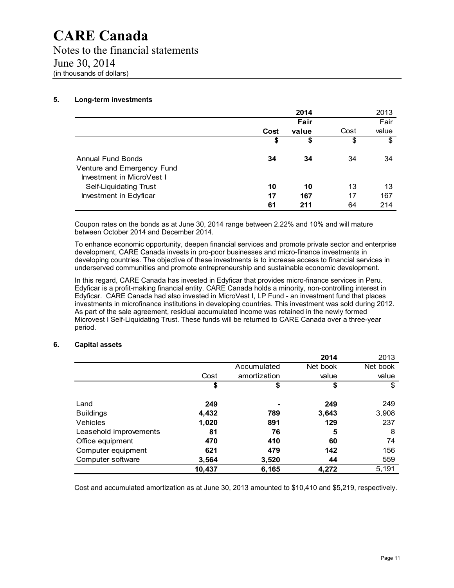#### **5. Long-term investments**

|                                                                                     |      | 2014  |      | 2013  |
|-------------------------------------------------------------------------------------|------|-------|------|-------|
|                                                                                     |      | Fair  |      | Fair  |
|                                                                                     | Cost | value | Cost | value |
|                                                                                     | \$   | \$    | \$   | \$    |
| <b>Annual Fund Bonds</b><br>Venture and Emergency Fund<br>Investment in MicroVest I | 34   | 34    | 34   | 34    |
| Self-Liquidating Trust                                                              | 10   | 10    | 13   | 13    |
| Investment in Edyficar                                                              | 17   | 167   | 17   | 167   |
|                                                                                     | 61   | 211   | 64   | 214   |

Coupon rates on the bonds as at June 30, 2014 range between 2.22% and 10% and will mature between October 2014 and December 2014.

To enhance economic opportunity, deepen financial services and promote private sector and enterprise development, CARE Canada invests in pro-poor businesses and micro-finance investments in developing countries. The objective of these investments is to increase access to financial services in underserved communities and promote entrepreneurship and sustainable economic development.

In this regard, CARE Canada has invested in Edyficar that provides micro-finance services in Peru. Edyficar is a profit-making financial entity. CARE Canada holds a minority, non-controlling interest in Edyficar. CARE Canada had also invested in MicroVest I, LP Fund - an investment fund that places investments in microfinance institutions in developing countries. This investment was sold during 2012. As part of the sale agreement, residual accumulated income was retained in the newly formed Microvest I Self-Liquidating Trust. These funds will be returned to CARE Canada over a three-year period.

#### **6. Capital assets**

|                        |        |              | 2014     | 2013     |
|------------------------|--------|--------------|----------|----------|
|                        |        | Accumulated  | Net book | Net book |
|                        | Cost   | amortization | value    | value    |
|                        | \$     | \$           | \$       | \$       |
| Land                   | 249    |              | 249      | 249      |
| <b>Buildings</b>       | 4,432  | 789          | 3,643    | 3,908    |
| <b>Vehicles</b>        | 1,020  | 891          | 129      | 237      |
| Leasehold improvements | 81     | 76           | 5        | 8        |
| Office equipment       | 470    | 410          | 60       | 74       |
| Computer equipment     | 621    | 479          | 142      | 156      |
| Computer software      | 3,564  | 3,520        | 44       | 559      |
|                        | 10,437 | 6,165        | 4.272    | 5,191    |

Cost and accumulated amortization as at June 30, 2013 amounted to \$10,410 and \$5,219, respectively.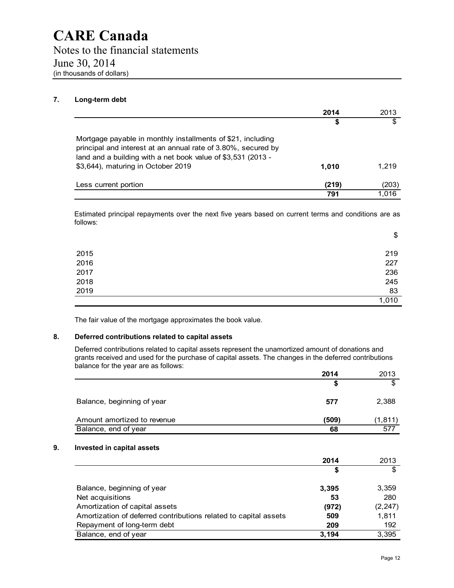#### **7. Long-term debt**

|                                                                                                                                                                                                                                    | 2014  | 2013  |
|------------------------------------------------------------------------------------------------------------------------------------------------------------------------------------------------------------------------------------|-------|-------|
|                                                                                                                                                                                                                                    | \$    | \$    |
| Mortgage payable in monthly installments of \$21, including<br>principal and interest at an annual rate of 3.80%, secured by<br>land and a building with a net book value of \$3,531 (2013 -<br>\$3,644), maturing in October 2019 | 1.010 | 1.219 |
| Less current portion                                                                                                                                                                                                               | (219) | (203) |
|                                                                                                                                                                                                                                    | 791   | 1.016 |

Estimated principal repayments over the next five years based on current terms and conditions are as follows:

|      | \$    |
|------|-------|
| 2015 | 219   |
| 2016 | 227   |
| 2017 | 236   |
| 2018 | 245   |
| 2019 | 83    |
|      | 1,010 |

The fair value of the mortgage approximates the book value.

#### **8. Deferred contributions related to capital assets**

Deferred contributions related to capital assets represent the unamortized amount of donations and grants received and used for the purchase of capital assets. The changes in the deferred contributions balance for the year are as follows:

|                             | 2014  | 2013     |
|-----------------------------|-------|----------|
|                             | S     | S        |
| Balance, beginning of year  | 577   | 2,388    |
| Amount amortized to revenue | (509) | (1, 811) |
| Balance, end of year        | 68    | 577      |

#### **9. Invested in capital assets**

|                                                                  | 2014  | 2013     |
|------------------------------------------------------------------|-------|----------|
|                                                                  | \$    | \$       |
| Balance, beginning of year                                       | 3,395 | 3,359    |
| Net acquisitions                                                 | 53    | 280      |
| Amortization of capital assets                                   | (972) | (2, 247) |
| Amortization of deferred contributions related to capital assets | 509   | 1,811    |
| Repayment of long-term debt                                      | 209   | 192      |
| Balance, end of year                                             | 3.194 | 3,395    |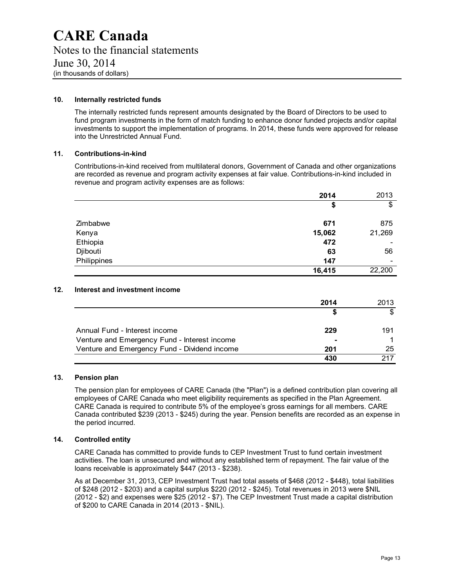#### **10. Internally restricted funds**

The internally restricted funds represent amounts designated by the Board of Directors to be used to fund program investments in the form of match funding to enhance donor funded projects and/or capital investments to support the implementation of programs. In 2014, these funds were approved for release into the Unrestricted Annual Fund.

#### **11. Contributions-in-kind**

Contributions-in-kind received from multilateral donors, Government of Canada and other organizations are recorded as revenue and program activity expenses at fair value. Contributions-in-kind included in revenue and program activity expenses are as follows:

|             | 2014   | 2013   |
|-------------|--------|--------|
|             | \$     | \$     |
| Zimbabwe    | 671    | 875    |
| Kenya       | 15,062 | 21,269 |
| Ethiopia    | 472    | -      |
| Djibouti    | 63     | 56     |
| Philippines | 147    | ۰      |
|             | 16,415 | 22,200 |

#### **12. Interest and investment income**

|                                              | 2014 | 2013 |
|----------------------------------------------|------|------|
|                                              |      |      |
| Annual Fund - Interest income                | 229  | 191  |
| Venture and Emergency Fund - Interest income |      |      |
| Venture and Emergency Fund - Dividend income | 201  | 25   |
|                                              | 430  | 217  |

#### **13. Pension plan**

The pension plan for employees of CARE Canada (the "Plan") is a defined contribution plan covering all employees of CARE Canada who meet eligibility requirements as specified in the Plan Agreement. CARE Canada is required to contribute 5% of the employee's gross earnings for all members. CARE Canada contributed \$239 (2013 - \$245) during the year. Pension benefits are recorded as an expense in the period incurred.

#### **14. Controlled entity**

CARE Canada has committed to provide funds to CEP Investment Trust to fund certain investment activities. The loan is unsecured and without any established term of repayment. The fair value of the loans receivable is approximately \$447 (2013 - \$238).

As at December 31, 2013, CEP Investment Trust had total assets of \$468 (2012 - \$448), total liabilities of \$248 (2012 - \$203) and a capital surplus \$220 (2012 - \$245). Total revenues in 2013 were \$NIL (2012 - \$2) and expenses were \$25 (2012 - \$7). The CEP Investment Trust made a capital distribution of \$200 to CARE Canada in 2014 (2013 - \$NIL).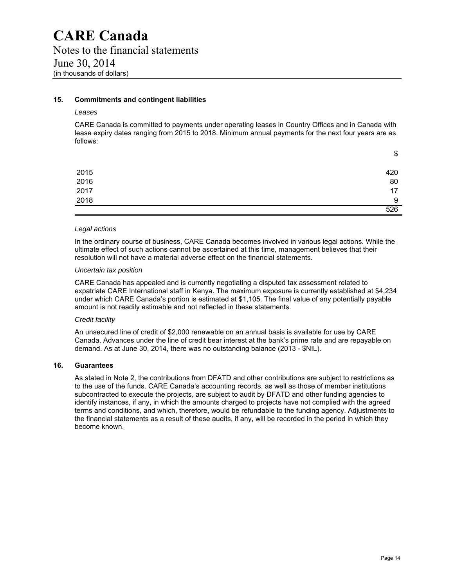#### **15. Commitments and contingent liabilities**

#### *Leases*

CARE Canada is committed to payments under operating leases in Country Offices and in Canada with lease expiry dates ranging from 2015 to 2018. Minimum annual payments for the next four years are as follows:

|              | Ψ   |
|--------------|-----|
| 2015         | 420 |
| 2016<br>2017 | 80  |
|              | 17  |
| 2018         | 9   |
|              | 526 |

#### *Legal actions*

In the ordinary course of business, CARE Canada becomes involved in various legal actions. While the ultimate effect of such actions cannot be ascertained at this time, management believes that their resolution will not have a material adverse effect on the financial statements.

#### *Uncertain tax position*

CARE Canada has appealed and is currently negotiating a disputed tax assessment related to expatriate CARE International staff in Kenya. The maximum exposure is currently established at \$4,234 under which CARE Canada's portion is estimated at \$1,105. The final value of any potentially payable amount is not readily estimable and not reflected in these statements.

#### *Credit facility*

An unsecured line of credit of \$2,000 renewable on an annual basis is available for use by CARE Canada. Advances under the line of credit bear interest at the bank's prime rate and are repayable on demand. As at June 30, 2014, there was no outstanding balance (2013 - \$NIL).

#### **16. Guarantees**

As stated in Note 2, the contributions from DFATD and other contributions are subject to restrictions as to the use of the funds. CARE Canada's accounting records, as well as those of member institutions subcontracted to execute the projects, are subject to audit by DFATD and other funding agencies to identify instances, if any, in which the amounts charged to projects have not complied with the agreed terms and conditions, and which, therefore, would be refundable to the funding agency. Adjustments to the financial statements as a result of these audits, if any, will be recorded in the period in which they become known.

\$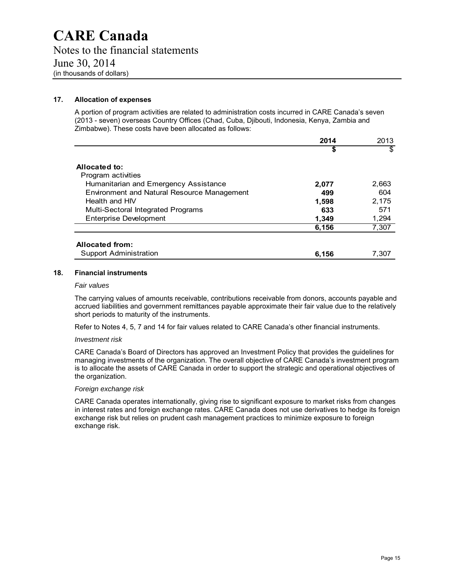#### **17. Allocation of expenses**

A portion of program activities are related to administration costs incurred in CARE Canada's seven (2013 - seven) overseas Country Offices (Chad, Cuba, Djibouti, Indonesia, Kenya, Zambia and Zimbabwe). These costs have been allocated as follows:

|                                                    | 2014  | 2013  |
|----------------------------------------------------|-------|-------|
|                                                    | \$    | \$    |
| Allocated to:                                      |       |       |
| Program activities                                 |       |       |
| Humanitarian and Emergency Assistance              | 2,077 | 2,663 |
| <b>Environment and Natural Resource Management</b> | 499   | 604   |
| Health and HIV                                     | 1,598 | 2,175 |
| Multi-Sectoral Integrated Programs                 | 633   | 571   |
| <b>Enterprise Development</b>                      | 1,349 | 1,294 |
|                                                    | 6,156 | 7,307 |
|                                                    |       |       |
| Allocated from:                                    |       |       |
| Support Administration                             | 6.156 | 7.307 |

#### **18. Financial instruments**

#### *Fair values*

The carrying values of amounts receivable, contributions receivable from donors, accounts payable and accrued liabilities and government remittances payable approximate their fair value due to the relatively short periods to maturity of the instruments.

Refer to Notes 4, 5, 7 and 14 for fair values related to CARE Canada's other financial instruments.

#### *Investment risk*

CARE Canada's Board of Directors has approved an Investment Policy that provides the guidelines for managing investments of the organization. The overall objective of CARE Canada's investment program is to allocate the assets of CARE Canada in order to support the strategic and operational objectives of the organization.

#### *Foreign exchange risk*

CARE Canada operates internationally, giving rise to significant exposure to market risks from changes in interest rates and foreign exchange rates. CARE Canada does not use derivatives to hedge its foreign exchange risk but relies on prudent cash management practices to minimize exposure to foreign exchange risk.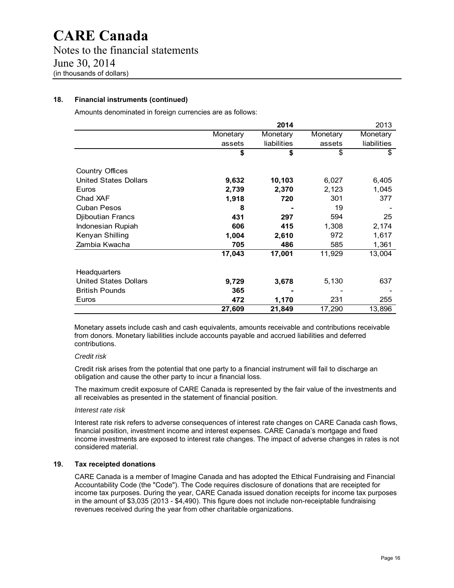#### **18. Financial instruments (continued)**

Amounts denominated in foreign currencies are as follows:

|                              |          | 2014        |          | 2013        |
|------------------------------|----------|-------------|----------|-------------|
|                              | Monetary | Monetary    | Monetary | Monetary    |
|                              | assets   | liabilities | assets   | liabilities |
|                              | \$       | \$          | \$       | \$          |
| Country Offices              |          |             |          |             |
| <b>United States Dollars</b> | 9,632    | 10,103      | 6,027    | 6,405       |
| Euros                        | 2,739    | 2,370       | 2,123    | 1,045       |
| Chad XAF                     | 1,918    | 720         | 301      | 377         |
| <b>Cuban Pesos</b>           | 8        |             | 19       |             |
| Djiboutian Francs            | 431      | 297         | 594      | 25          |
| Indonesian Rupiah            | 606      | 415         | 1,308    | 2,174       |
| Kenyan Shilling              | 1,004    | 2,610       | 972      | 1,617       |
| Zambia Kwacha                | 705      | 486         | 585      | 1,361       |
|                              | 17,043   | 17,001      | 11,929   | 13,004      |
| Headquarters                 |          |             |          |             |
| <b>United States Dollars</b> | 9,729    | 3,678       | 5,130    | 637         |
| <b>British Pounds</b>        | 365      |             |          |             |
| Euros                        | 472      | 1,170       | 231      | 255         |
|                              | 27,609   | 21,849      | 17,290   | 13,896      |

Monetary assets include cash and cash equivalents, amounts receivable and contributions receivable from donors. Monetary liabilities include accounts payable and accrued liabilities and deferred contributions.

#### *Credit risk*

Credit risk arises from the potential that one party to a financial instrument will fail to discharge an obligation and cause the other party to incur a financial loss.

The maximum credit exposure of CARE Canada is represented by the fair value of the investments and all receivables as presented in the statement of financial position.

#### *Interest rate risk*

Interest rate risk refers to adverse consequences of interest rate changes on CARE Canada cash flows, financial position, investment income and interest expenses. CARE Canada's mortgage and fixed income investments are exposed to interest rate changes. The impact of adverse changes in rates is not considered material.

#### **19. Tax receipted donations**

CARE Canada is a member of Imagine Canada and has adopted the Ethical Fundraising and Financial Accountability Code (the "Code"). The Code requires disclosure of donations that are receipted for income tax purposes. During the year, CARE Canada issued donation receipts for income tax purposes in the amount of \$3,035 (2013 - \$4,490). This figure does not include non-receiptable fundraising revenues received during the year from other charitable organizations.